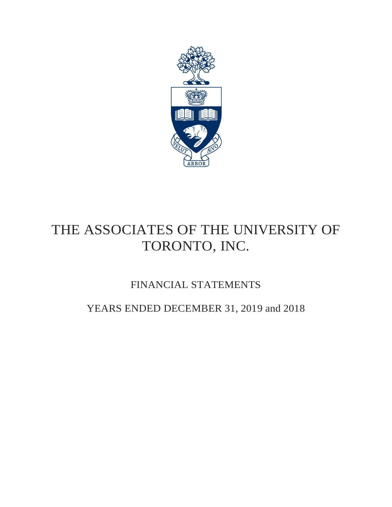

# THE ASSOCIATES OF THE UNIVERSITY OF TORONTO, INC.

## FINANCIAL STATEMENTS

## YEARS ENDED DECEMBER 31, 2019 and 2018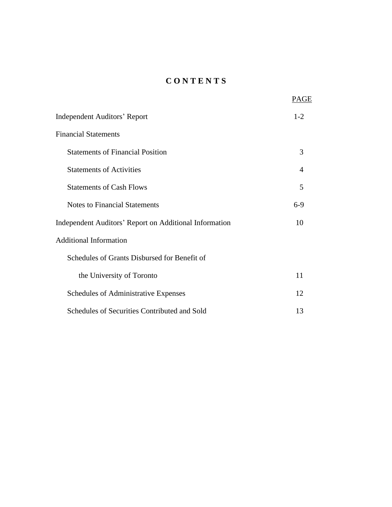## **C O N T E N T S**

|                                                        | PAGE           |
|--------------------------------------------------------|----------------|
| <b>Independent Auditors' Report</b>                    | $1 - 2$        |
| <b>Financial Statements</b>                            |                |
| <b>Statements of Financial Position</b>                | 3              |
| <b>Statements of Activities</b>                        | $\overline{4}$ |
| <b>Statements of Cash Flows</b>                        | 5              |
| <b>Notes to Financial Statements</b>                   | $6-9$          |
| Independent Auditors' Report on Additional Information | 10             |
| <b>Additional Information</b>                          |                |
| Schedules of Grants Disbursed for Benefit of           |                |
| the University of Toronto                              | 11             |
| Schedules of Administrative Expenses                   | 12             |
| Schedules of Securities Contributed and Sold           | 13             |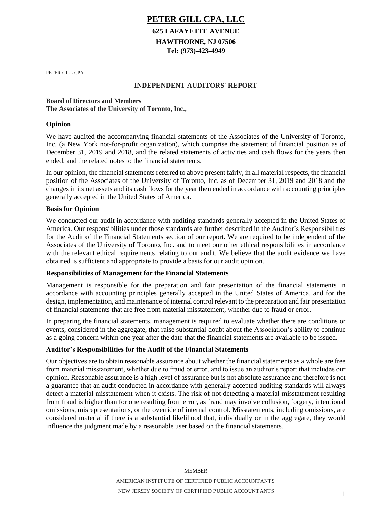### **PETER GILL CPA, LLC**

### **625 LAFAYETTE AVENUE HAWTHORNE, NJ 07506 Tel: (973)-423-4949**

PETER GILL CPA

#### **INDEPENDENT AUDITORS' REPORT**

#### **Board of Directors and Members The Associates of the University of Toronto, Inc.,**

#### **Opinion**

We have audited the accompanying financial statements of the Associates of the University of Toronto, Inc. (a New York not-for-profit organization), which comprise the statement of financial position as of December 31, 2019 and 2018, and the related statements of activities and cash flows for the years then ended, and the related notes to the financial statements.

In our opinion, the financial statements referred to above present fairly, in all material respects, the financial position of the Associates of the University of Toronto, Inc. as of December 31, 2019 and 2018 and the changes in its net assets and its cash flows for the year then ended in accordance with accounting principles generally accepted in the United States of America.

#### **Basis for Opinion**

We conducted our audit in accordance with auditing standards generally accepted in the United States of America. Our responsibilities under those standards are further described in the Auditor's Responsibilities for the Audit of the Financial Statements section of our report. We are required to be independent of the Associates of the University of Toronto, Inc. and to meet our other ethical responsibilities in accordance with the relevant ethical requirements relating to our audit. We believe that the audit evidence we have obtained is sufficient and appropriate to provide a basis for our audit opinion.

#### **Responsibilities of Management for the Financial Statements**

Management is responsible for the preparation and fair presentation of the financial statements in accordance with accounting principles generally accepted in the United States of America, and for the design, implementation, and maintenance of internal control relevant to the preparation and fair presentation of financial statements that are free from material misstatement, whether due to fraud or error.

In preparing the financial statements, management is required to evaluate whether there are conditions or events, considered in the aggregate, that raise substantial doubt about the Association's ability to continue as a going concern within one year after the date that the financial statements are available to be issued.

#### **Auditor's Responsibilities for the Audit of the Financial Statements**

Our objectives are to obtain reasonable assurance about whether the financial statements as a whole are free from material misstatement, whether due to fraud or error, and to issue an auditor's report that includes our opinion. Reasonable assurance is a high level of assurance but is not absolute assurance and therefore is not a guarantee that an audit conducted in accordance with generally accepted auditing standards will always detect a material misstatement when it exists. The risk of not detecting a material misstatement resulting from fraud is higher than for one resulting from error, as fraud may involve collusion, forgery, intentional omissions, misrepresentations, or the override of internal control. Misstatements, including omissions, are considered material if there is a substantial likelihood that, individually or in the aggregate, they would influence the judgment made by a reasonable user based on the financial statements.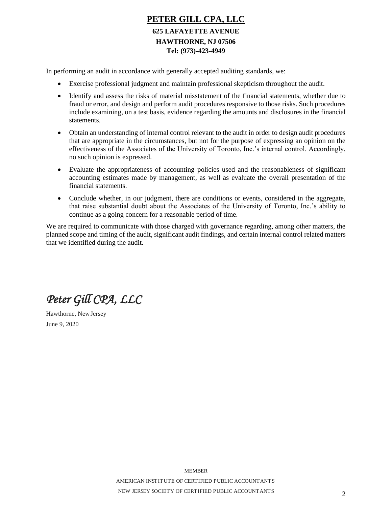## **PETER GILL CPA, LLC 625 LAFAYETTE AVENUE HAWTHORNE, NJ 07506 Tel: (973)-423-4949**

In performing an audit in accordance with generally accepted auditing standards, we:

- Exercise professional judgment and maintain professional skepticism throughout the audit.
- Identify and assess the risks of material misstatement of the financial statements, whether due to fraud or error, and design and perform audit procedures responsive to those risks. Such procedures include examining, on a test basis, evidence regarding the amounts and disclosures in the financial statements.
- Obtain an understanding of internal control relevant to the audit in order to design audit procedures that are appropriate in the circumstances, but not for the purpose of expressing an opinion on the effectiveness of the Associates of the University of Toronto, Inc.'s internal control. Accordingly, no such opinion is expressed.
- Evaluate the appropriateness of accounting policies used and the reasonableness of significant accounting estimates made by management, as well as evaluate the overall presentation of the financial statements.
- Conclude whether, in our judgment, there are conditions or events, considered in the aggregate, that raise substantial doubt about the Associates of the University of Toronto, Inc.'s ability to continue as a going concern for a reasonable period of time.

We are required to communicate with those charged with governance regarding, among other matters, the planned scope and timing of the audit, significant audit findings, and certain internal control related matters that we identified during the audit.

*Peter Gill CPA, LLC*

Hawthorne, NewJersey June 9, 2020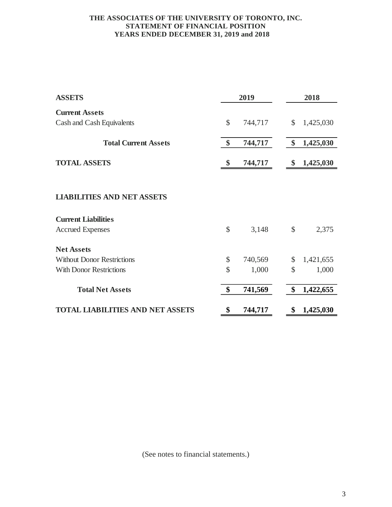#### **THE ASSOCIATES OF THE UNIVERSITY OF TORONTO, INC. STATEMENT OF FINANCIAL POSITION YEARS ENDED DECEMBER 31, 2019 and 2018**

| <b>ASSETS</b>                           |                     | 2019    | 2018 |           |  |
|-----------------------------------------|---------------------|---------|------|-----------|--|
| <b>Current Assets</b>                   |                     |         |      |           |  |
| Cash and Cash Equivalents               | \$                  | 744,717 | \$   | 1,425,030 |  |
| <b>Total Current Assets</b>             | \$                  | 744,717 | \$   | 1,425,030 |  |
| <b>TOTAL ASSETS</b>                     | \$                  | 744,717 | \$   | 1,425,030 |  |
|                                         |                     |         |      |           |  |
| <b>LIABILITIES AND NET ASSETS</b>       |                     |         |      |           |  |
| <b>Current Liabilities</b>              |                     |         |      |           |  |
| <b>Accrued Expenses</b>                 | \$                  | 3,148   | \$   | 2,375     |  |
| <b>Net Assets</b>                       |                     |         |      |           |  |
| <b>Without Donor Restrictions</b>       | \$                  | 740,569 | \$   | 1,421,655 |  |
| <b>With Donor Restrictions</b>          | $\hat{\mathcal{S}}$ | 1,000   | \$   | 1,000     |  |
| <b>Total Net Assets</b>                 | \$                  | 741,569 | \$   | 1,422,655 |  |
| <b>TOTAL LIABILITIES AND NET ASSETS</b> | \$                  | 744,717 | \$   | 1,425,030 |  |

(See notes to financial statements.)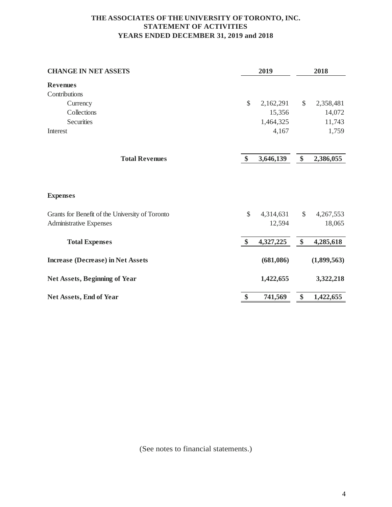#### **THE ASSOCIATES OF THE UNIVERSITY OFTORONTO, INC. STATEMENT OF ACTIVITIES YEARS ENDED DECEMBER 31, 2019 and 2018**

| <b>CHANGE IN NET ASSETS</b>                     | 2019          |           |                   | 2018        |  |  |
|-------------------------------------------------|---------------|-----------|-------------------|-------------|--|--|
| <b>Revenues</b>                                 |               |           |                   |             |  |  |
| Contributions                                   |               |           |                   |             |  |  |
| Currency                                        | $\mathcal{S}$ | 2,162,291 | $\mathcal{S}$     | 2,358,481   |  |  |
| Collections                                     |               | 15,356    |                   | 14,072      |  |  |
| Securities                                      |               | 1,464,325 |                   | 11,743      |  |  |
| Interest                                        |               | 4,167     |                   | 1,759       |  |  |
| <b>Total Revenues</b>                           | $\mathbf{\$}$ | 3,646,139 | $\boldsymbol{\$}$ | 2,386,055   |  |  |
|                                                 |               |           |                   |             |  |  |
| <b>Expenses</b>                                 |               |           |                   |             |  |  |
| Grants for Benefit of the University of Toronto | $\mathcal{S}$ | 4,314,631 | $\$\$             | 4,267,553   |  |  |
| Administrative Expenses                         |               | 12,594    |                   | 18,065      |  |  |
| <b>Total Expenses</b>                           | \$            | 4,327,225 | \$                | 4,285,618   |  |  |
| <b>Increase (Decrease) in Net Assets</b>        |               | (681,086) |                   | (1,899,563) |  |  |
| <b>Net Assets, Beginning of Year</b>            |               | 1,422,655 |                   | 3,322,218   |  |  |
| Net Assets, End of Year                         | \$            | 741,569   | \$                | 1,422,655   |  |  |

(See notes to financial statements.)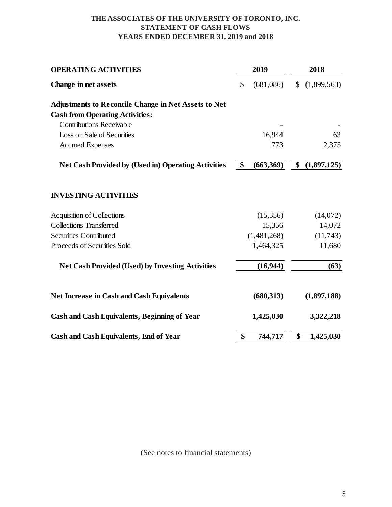#### **THE ASSOCIATES OF THE UNIVERSITY OFTORONTO, INC. STATEMENT OF CASH FLOWS YEARS ENDED DECEMBER 31, 2019 and 2018**

| <b>OPERATING ACTIVITIES</b>                                 | 2019            | 2018         |             |  |
|-------------------------------------------------------------|-----------------|--------------|-------------|--|
| Change in net assets                                        | \$<br>(681,086) | $\mathbb{S}$ | (1,899,563) |  |
| <b>Adjustments to Reconcile Change in Net Assets to Net</b> |                 |              |             |  |
| <b>Cash from Operating Activities:</b>                      |                 |              |             |  |
| <b>Contributions Receivable</b>                             |                 |              |             |  |
| Loss on Sale of Securities                                  | 16,944          |              | 63          |  |
| <b>Accrued Expenses</b>                                     | 773             |              | 2,375       |  |
| <b>Net Cash Provided by (Used in) Operating Activities</b>  | \$<br>(663,369) | \$           | (1,897,125) |  |
| <b>INVESTING ACTIVITIES</b>                                 |                 |              |             |  |
| <b>Acquisition of Collections</b>                           | (15,356)        |              | (14,072)    |  |
| <b>Collections Transferred</b>                              | 15,356          |              | 14,072      |  |
| <b>Securities Contributed</b>                               | (1,481,268)     |              | (11,743)    |  |
| Proceeds of Securities Sold                                 | 1,464,325       |              | 11,680      |  |
| <b>Net Cash Provided (Used) by Investing Activities</b>     | (16, 944)       |              | (63)        |  |
| <b>Net Increase in Cash and Cash Equivalents</b>            | (680, 313)      |              | (1,897,188) |  |
| <b>Cash and Cash Equivalents, Beginning of Year</b>         | 1,425,030       |              | 3,322,218   |  |
| <b>Cash and Cash Equivalents, End of Year</b>               | \$<br>744,717   | \$           | 1,425,030   |  |

(See notes to financial statements)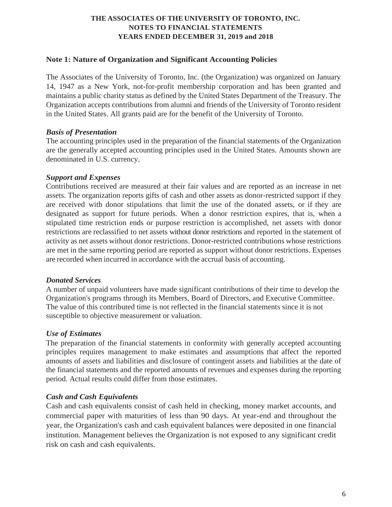#### **Note 1: Nature of Organization and Significant Accounting Policies**

The Associates of the University of Toronto, Inc. (the Organization) was organized on January 14, 1947 as a New York, not-for-profit membership corporation and has been granted and maintains a public charity status as defined by the United States Department of the Treasury. The Organization accepts contributions from alumni and friends of the University of Toronto resident in the United States. All grants paid are for the benefit of the University of Toronto.

#### *Basis of Presentation*

The accounting principles used in the preparation of the financial statements of the Organization are the generally accepted accounting principles used in the United States. Amounts shown are denominated in U.S. currency.

#### *Support and Expenses*

Contributions received are measured at their fair values and are reported as an increase in net assets. The organization reports gifts of cash and other assets as donor-restricted support if they are received with donor stipulations that limit the use of the donated assets, or if they are designated as support for future periods. When a donor restriction expires, that is, when a stipulated time restriction ends or purpose restriction is accomplished, net assets with donor restrictions are reclassified to net assets without donor restrictions and reported in the statement of activity as net assets without donor restrictions. Donor-restricted contributions whose restrictions are met in the same reporting period are reported as support without donor restrictions. Expenses are recorded when incurred in accordance with the accrual basis of accounting.

#### *Donated Services*

A number of unpaid volunteers have made significant contributions of their time to develop the Organization's programs through its Members, Board of Directors, and Executive Committee. The value of this contributed time is not reflected in the financial statements since it is not susceptible to objective measurement or valuation.

#### *Use of Estimates*

The preparation of the financial statements in conformity with generally accepted accounting principles requires management to make estimates and assumptions that affect the reported amounts of assets and liabilities and disclosure of contingent assets and liabilities at the date of the financial statements and the reported amounts of revenues and expenses during the reporting period. Actual results could differ from those estimates.

#### *Cash and Cash Equivalents*

Cash and cash equivalents consist of cash held in checking, money market accounts, and commercial paper with maturities of less than 90 days. At year-end and throughout the year, the Organization's cash and cash equivalent balances were deposited in one financial institution. Management believes the Organization is not exposed to any significant credit risk on cash and cash equivalents.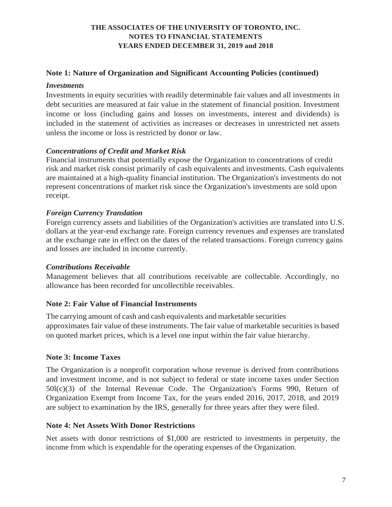#### **Note 1: Nature of Organization and Significant Accounting Policies (continued)**

#### *Investments*

Investments in equity securities with readily determinable fair values and all investments in debt securities are measured at fair value in the statement of financial position. Investment income or loss (including gains and losses on investments, interest and dividends) is included in the statement of activities as increases or decreases in unrestricted net assets unless the income or loss is restricted by donor or law.

#### *Concentrations of Credit and Market Risk*

Financial instruments that potentially expose the Organization to concentrations of credit risk and market risk consist primarily of cash equivalents and investments. Cash equivalents are maintained at a high-quality financial institution. The Organization's investments do not represent concentrations of market risk since the Organization's investments are sold upon receipt.

#### *Foreign Currency Translation*

Foreign currency assets and liabilities of the Organization's activities are translated into U.S. dollars at the year-end exchange rate. Foreign currency revenues and expenses are translated at the exchange rate in effect on the dates of the related transactions. Foreign currency gains and losses are included in income currently.

#### *Contributions Receivable*

Management believes that all contributions receivable are collectable. Accordingly, no allowance has been recorded for uncollectible receivables.

#### **Note 2: Fair Value of Financial Instruments**

The carrying amount of cash and cash equivalents and marketable securities approximates fair value of these instruments. The fair value of marketable securities is based on quoted market prices, which is a level one input within the fair value hierarchy.

#### **Note 3: Income Taxes**

The Organization is a nonprofit corporation whose revenue is derived from contributions and investment income, and is not subject to federal or state income taxes under Section 50l(c)(3) of the Internal Revenue Code. The Organization's Forms 990, Return of Organization Exempt from Income Tax, for the years ended 2016, 2017, 2018, and 2019 are subject to examination by the IRS, generally for three years after they were filed.

#### **Note 4: Net Assets With Donor Restrictions**

Net assets with donor restrictions of \$1,000 are restricted to investments in perpetuity, the income from which is expendable for the operating expenses of the Organization.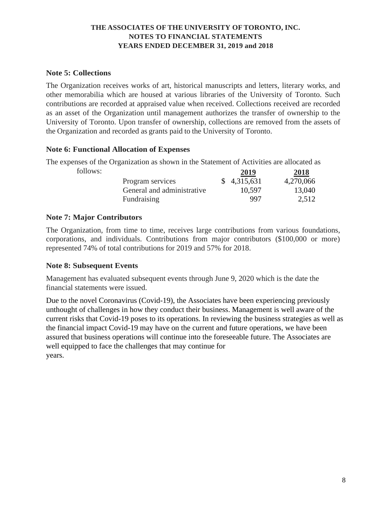#### **Note 5: Collections**

The Organization receives works of art, historical manuscripts and letters, literary works, and other memorabilia which are housed at various libraries of the University of Toronto. Such contributions are recorded at appraised value when received. Collections received are recorded as an asset of the Organization until management authorizes the transfer of ownership to the University of Toronto. Upon transfer of ownership, collections are removed from the assets of the Organization and recorded as grants paid to the University of Toronto.

#### **Note 6: Functional Allocation of Expenses**

The expenses of the Organization as shown in the Statement of Activities are allocated as

| follows: |                            | 2019        | 2018      |
|----------|----------------------------|-------------|-----------|
|          | Program services           | \$4,315,631 | 4,270,066 |
|          | General and administrative | 10,597      | 13,040    |
|          | Fundraising                | 997         | 2.512     |

#### **Note 7: Major Contributors**

The Organization, from time to time, receives large contributions from various foundations, corporations, and individuals. Contributions from major contributors (\$100,000 or more) represented 74% of total contributions for 2019 and 57% for 2018.

#### **Note 8: Subsequent Events**

Management has evaluated subsequent events through June 9, 2020 which is the date the financial statements were issued.

Due to the novel Coronavirus (Covid-19), the Associates have been experiencing previously unthought of challenges in how they conduct their business. Management is well aware of the current risks that Covid-19 poses to its operations. In reviewing the business strategies as well as the financial impact Covid-19 may have on the current and future operations, we have been assured that business operations will continue into the foreseeable future. The Associates are well equipped to face the challenges that may continue for years.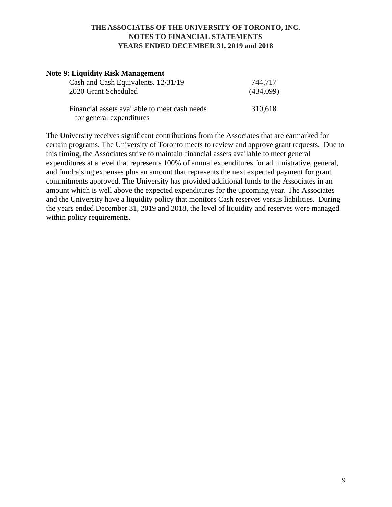| <b>Note 9: Liquidity Risk Management</b>                                  |           |
|---------------------------------------------------------------------------|-----------|
| Cash and Cash Equivalents, 12/31/19                                       | 744,717   |
| 2020 Grant Scheduled                                                      | (434,099) |
| Financial assets available to meet cash needs<br>for general expenditures | 310,618   |

The University receives significant contributions from the Associates that are earmarked for certain programs. The University of Toronto meets to review and approve grant requests. Due to this timing, the Associates strive to maintain financial assets available to meet general expenditures at a level that represents 100% of annual expenditures for administrative, general, and fundraising expenses plus an amount that represents the next expected payment for grant commitments approved. The University has provided additional funds to the Associates in an amount which is well above the expected expenditures for the upcoming year. The Associates and the University have a liquidity policy that monitors Cash reserves versus liabilities. During the years ended December 31, 2019 and 2018, the level of liquidity and reserves were managed within policy requirements.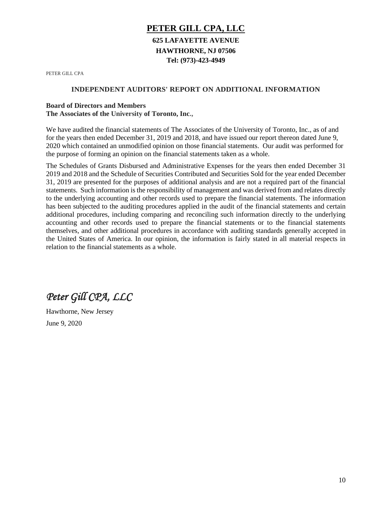## **PETER GILL CPA, LLC 625 LAFAYETTE AVENUE HAWTHORNE, NJ 07506 Tel: (973)-423-4949**

PETER GILL CPA

#### **INDEPENDENT AUDITORS' REPORT ON ADDITIONAL INFORMATION**

#### **Board of Directors and Members**

**The Associates of the University of Toronto, Inc.,**

We have audited the financial statements of The Associates of the University of Toronto, Inc., as of and for the years then ended December 31, 2019 and 2018, and have issued our report thereon dated June 9, 2020 which contained an unmodified opinion on those financial statements. Our audit was performed for the purpose of forming an opinion on the financial statements taken as a whole.

The Schedules of Grants Disbursed and Administrative Expenses for the years then ended December 31 2019 and 2018 and the Schedule of Securities Contributed and Securities Sold for the year ended December 31, 2019 are presented for the purposes of additional analysis and are not a required part of the financial statements. Such information is the responsibility of management and was derived from and relates directly to the underlying accounting and other records used to prepare the financial statements. The information has been subjected to the auditing procedures applied in the audit of the financial statements and certain additional procedures, including comparing and reconciling such information directly to the underlying accounting and other records used to prepare the financial statements or to the financial statements themselves, and other additional procedures in accordance with auditing standards generally accepted in the United States of America. In our opinion, the information is fairly stated in all material respects in relation to the financial statements as a whole.

*Peter Gill CPA, LLC* 

Hawthorne, New Jersey June 9, 2020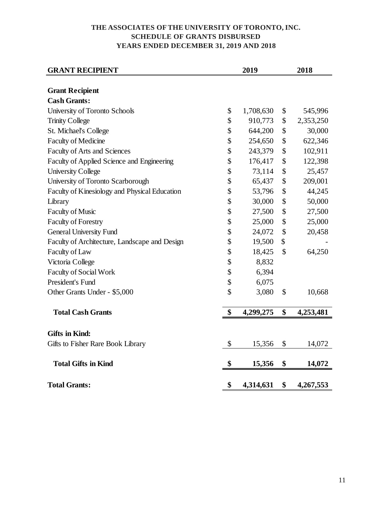#### **THE ASSOCIATES OFTHE UNIVERSITY OF TORONTO, INC. SCHEDULE OF GRANTS DISBURSED YEARS ENDED DECEMBER 31, 2019 AND 2018**

| <b>GRANT RECIPIENT</b>                        | 2019<br>2018 |           |    |           |
|-----------------------------------------------|--------------|-----------|----|-----------|
|                                               |              |           |    |           |
| <b>Grant Recipient</b>                        |              |           |    |           |
| <b>Cash Grants:</b>                           |              |           |    |           |
| University of Toronto Schools                 | \$           | 1,708,630 | \$ | 545,996   |
| <b>Trinity College</b>                        | \$           | 910,773   | \$ | 2,353,250 |
| St. Michael's College                         | \$           | 644,200   | \$ | 30,000    |
| <b>Faculty of Medicine</b>                    | \$           | 254,650   | \$ | 622,346   |
| Faculty of Arts and Sciences                  | \$           | 243,379   | \$ | 102,911   |
| Faculty of Applied Science and Engineering    | \$           | 176,417   | \$ | 122,398   |
| <b>University College</b>                     | \$           | 73,114    | \$ | 25,457    |
| University of Toronto Scarborough             | \$           | 65,437    | \$ | 209,001   |
| Faculty of Kinesiology and Physical Education | \$           | 53,796    | \$ | 44,245    |
| Library                                       | \$           | 30,000    | \$ | 50,000    |
| <b>Faculty of Music</b>                       | \$           | 27,500    | \$ | 27,500    |
| <b>Faculty of Forestry</b>                    | \$           | 25,000    | \$ | 25,000    |
| <b>General University Fund</b>                | \$           | 24,072    | \$ | 20,458    |
| Faculty of Architecture, Landscape and Design | \$           | 19,500    | \$ |           |
| Faculty of Law                                | \$           | 18,425    | \$ | 64,250    |
| Victoria College                              | \$           | 8,832     |    |           |
| <b>Faculty of Social Work</b>                 | \$           | 6,394     |    |           |
| President's Fund                              | \$           | 6,075     |    |           |
| Other Grants Under - \$5,000                  | \$           | 3,080     | \$ | 10,668    |
| <b>Total Cash Grants</b>                      | \$           | 4,299,275 | \$ | 4,253,481 |
|                                               |              |           |    |           |
| <b>Gifts in Kind:</b>                         |              |           |    |           |
| Gifts to Fisher Rare Book Library             | \$           | 15,356    | \$ | 14,072    |
| <b>Total Gifts in Kind</b>                    | \$           | 15,356    | \$ | 14,072    |
| <b>Total Grants:</b>                          | \$           | 4,314,631 | \$ | 4,267,553 |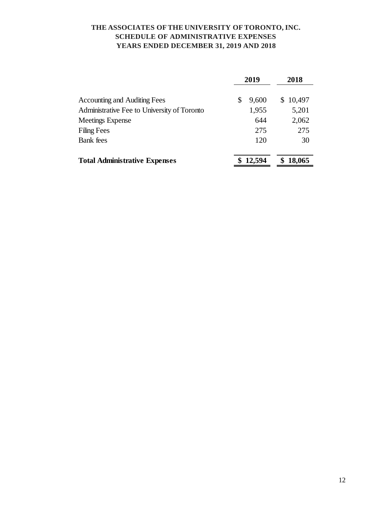#### **THE ASSOCIATES OFTHE UNIVERSITY OF TORONTO, INC. SCHEDULE OF ADMINISTRATIVE EXPENSES YEARS ENDED DECEMBER 31, 2019 AND 2018**

|                                             | 2019       | 2018        |  |  |
|---------------------------------------------|------------|-------------|--|--|
| <b>Accounting and Auditing Fees</b>         | 9,600<br>S | \$10,497    |  |  |
| Administrative Fee to University of Toronto | 1,955      | 5,201       |  |  |
| <b>Meetings Expense</b>                     | 644        | 2,062       |  |  |
| <b>Filing Fees</b>                          | 275        | 275         |  |  |
| <b>Bank</b> fees                            | 120        | 30          |  |  |
| <b>Total Administrative Expenses</b>        | \$12,594   | 18,065<br>S |  |  |